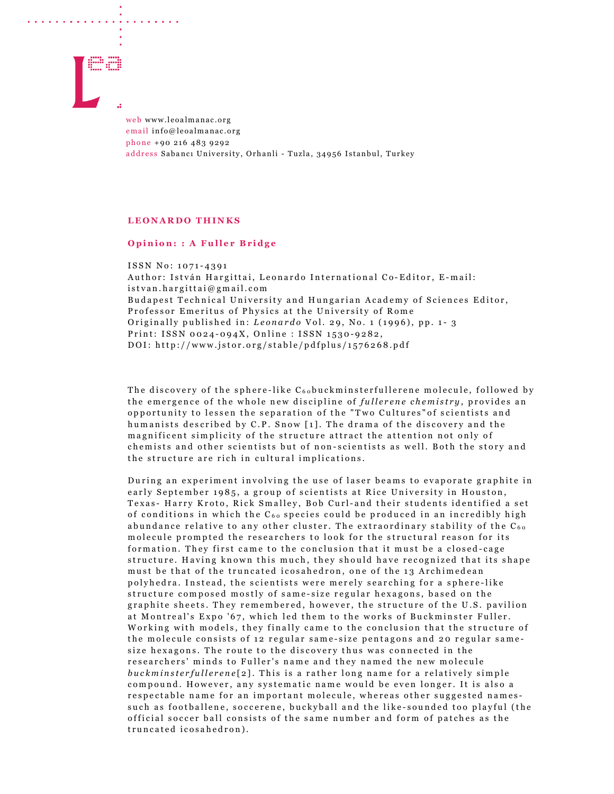

web www.leoalmanac.org email info@leoalmanac.org phone +90 216 483 9292 address Sabancı University, Orhanli - Tuzla, 34956 Istanbul, Turkey

## LEONARDO THINKS

## Opinion: : A Fuller Bridge

ISSN No: 1071-4391 Author: István Hargittai, Leonardo International Co-Editor, E-mail: istvan.hargittai@gmail.com Budapest Technical University and Hungarian Academy of Sciences Editor, Professor Emeritus of Physics at the University of Rome Originally published in: *Leonardo* Vol. 29, No. 1 (1996), pp. 1-3 Print: ISSN 0024-094X, Online : ISSN 1530-9282, DOI: http://www.jstor.org/stable/pdfplus/1576268.pdf

The discovery of the sphere-like  $C_{60}$ buckminsterfullerene molecule, followed by the emergence of the whole new discipline of fullerene chemistry, provides an opportunity to lessen the separation of the "Two Cultures" of scientists and humanists described by C.P. Snow [1]. The drama of the discovery and the magnificent simplicity of the structure attract the attention not only of chemists and other scientists but of non-scientists as well. Both the story and the structure are rich in cultural implications.

During an experiment involving the use of laser beams to evaporate graphite in early September 1985, a group of scientists at Rice University in Houston, Texas - Harry Kroto, Rick Smalley, Bob Curl-and their students identified a set of conditions in which the  $C_{60}$  species could be produced in an incredibly high abundance relative to any other cluster. The extraordinary stability of the C<sub>60</sub> m o lecule prompted the researchers to look for the structural reason for its formation. They first came to the conclusion that it must be a closed-cage structure. Having known this much, they should have recognized that its shape must be that of the truncated icosahedron, one of the 13 Archimedean polyhedra. Instead, the scientists were merely searching for a sphere-like structure composed mostly of same-size regular hexagons, based on the graphite sheets. They remembered, however, the structure of the U.S. pavilion at Montreal's Expo '67, which led them to the works of Buckminster Fuller. Working with models, they finally came to the conclusion that the structure of the molecule consists of 12 regular same-size pentagons and 20 regular samesize hexagons. The route to the discovery thus was connected in the researchers' minds to Fuller's name and they named the new molecule  $buckminsterfullerene[2]$ . This is a rather long name for a relatively simple compound. However, any systematic name would be even longer. It is also a respectable name for an important molecule, whereas other suggested namessuch as footballene, soccerene, buckyball and the like-sounded too playful (the official soccer ball consists of the same number and form of patches as the truncated icosahedron).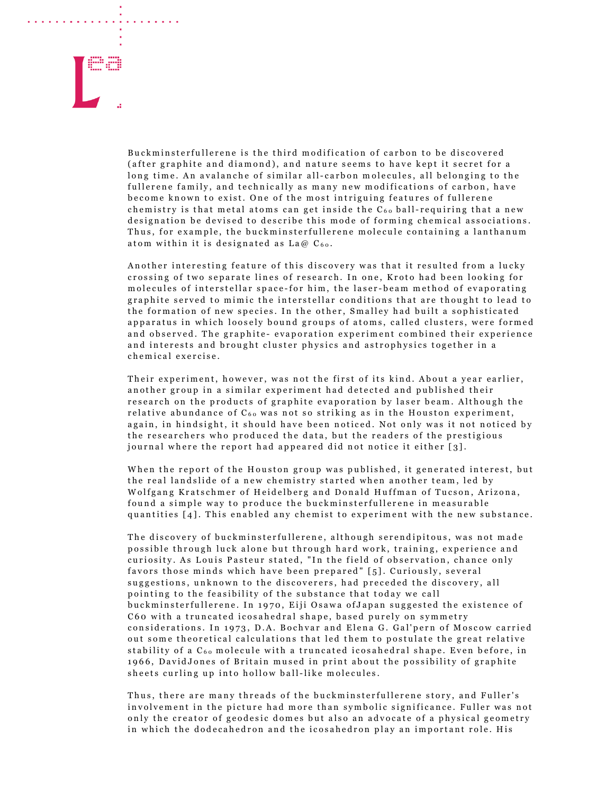

Buckminsterfullerene is the third modification of carbon to be discovered (after graphite and diamond), and nature seems to have kept it secret for a long time. An avalanche of similar all-carbon molecules, all belonging to the fullerene family, and technically as many new modifications of carbon, have become known to exist. One of the most intriguing features of fullerene chemistry is that metal atoms can get inside the  $C_{60}$  ball-requiring that a new designation be devised to describe this mode of forming chemical associations. Thus, for example, the buckminsterfullerene molecule containing a lanthanum atom within it is designated as  $La@$   $Co.$ 

Another interesting feature of this discovery was that it resulted from a lucky crossing of two separate lines of research. In one, Kroto had been looking for molecules of interstellar space-for him, the laser-beam method of evaporating graphite served to mimic the interstellar conditions that are thought to lead to the formation of new species. In the other, Smalley had built a sophisticated apparatus in which loosely bound groups of atoms, called clusters, were formed and observed. The graphite- evaporation experiment combined their experience and interests and brought cluster physics and astrophysics together in a chemical exercise.

Their experiment, however, was not the first of its kind. About a year earlier, an other group in a similar experiment had detected and published their research on the products of graphite evaporation by laser beam. Although the relative abundance of  $C_{60}$  was not so striking as in the Houston experiment, again, in hindsight, it should have been noticed. Not only was it not noticed by the researchers who produced the data, but the readers of the prestigious journal where the report had appeared did not notice it either [3].

When the report of the Houston group was published, it generated interest, but the real landslide of a new chemistry started when another team, led by Wolfgang Kratschmer of Heidelberg and Donald Huffman of Tucson, Arizona, found a simple way to produce the buckminsterfullerene in measurable quantities [4]. This enabled any chemist to experiment with the new substance.

The discovery of buckminsterfullerene, although serendipitous, was not made possible through luck alone but through hard work, training, experience and curiosity. As Louis Pasteur stated, "In the field of observation, chance only favors those minds which have been prepared" [5]. Curiously, several suggestions, unknown to the discoverers, had preceded the discovery, all pointing to the feasibility of the substance that today we call buckminsterfullerene. In 1970, Eiji Osawa of Japan suggested the existence of C60 with a truncated icosahedral shape, based purely on symmetry considerations. In 1973, D.A. Bochvar and Elena G. Gal'pern of Moscow carried out some theoretical calculations that led them to postulate the great relative stability of a C<sub>60</sub> molecule with a truncated icosahedral shape. Even before, in 1966, DavidJones of Britain mused in print about the possibility of graphite sheets curling up into hollow ball-like molecules.

Thus, there are many threads of the buckminsterfullerene story, and Fuller's involvement in the picture had more than symbolic significance. Fuller was not only the creator of geodesic domes but also an advocate of a physical geometry in which the dodecahedron and the icosahedron play an important role. His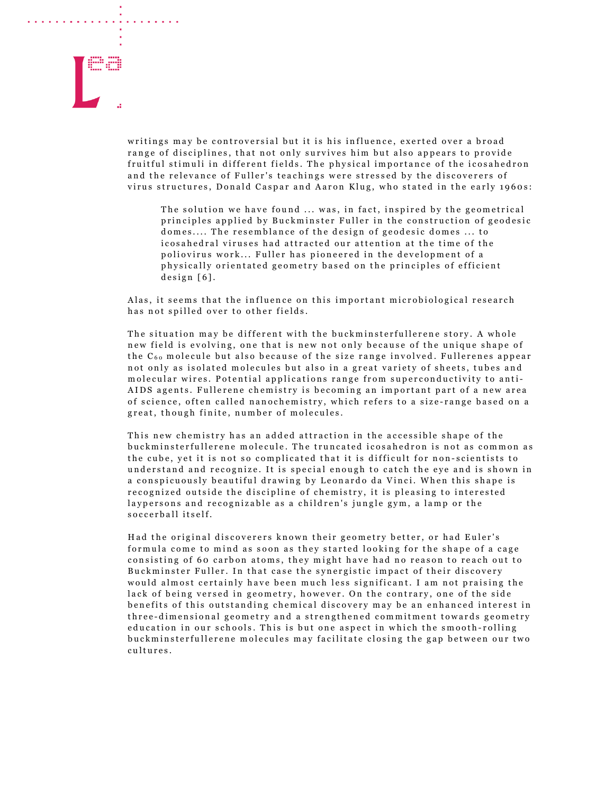

and a series and a series and a

writings may be controversial but it is his influence, exerted over a broad range of disciplines, that not only survives him but also appears to provide fruitful stimuli in different fields. The physical importance of the icosahedron and the relevance of Fuller's teachings were stressed by the discoverers of virus structures, Donald Caspar and Aaron Klug, who stated in the early 1960s:

The solution we have found ... was, in fact, inspired by the geometrical principles applied by Buckminster Fuller in the construction of geodesic domes.... The resemblance of the design of geodesic domes ... to icosahedral viruses had attracted our attention at the time of the poliovirus work... Fuller has pioneered in the development of a physically orientated geometry based on the principles of efficient  $design [6].$ 

Alas, it seems that the influence on this important microbiological research has not spilled over to other fields.

The situation may be different with the buckminsterfullerene story. A whole new field is evolving, one that is new not only because of the unique shape of the C<sub>60</sub> molecule but also because of the size range involved. Fullerenes appear not only as isolated molecules but also in a great variety of sheets, tubes and molecular wires. Potential applications range from superconductivity to anti-AIDS agents. Fullerene chemistry is becoming an important part of a new area of science, often called nanochemistry, which refers to a size-range based on a great, though finite, number of molecules.

This new chemistry has an added attraction in the accessible shape of the buckminsterfullerene molecule. The truncated icosahedron is not as common as the cube, yet it is not so complicated that it is difficult for non-scientists to understand and recognize. It is special enough to catch the eye and is shown in a conspicuously beautiful drawing by Leonardo da Vinci. When this shape is recognized outside the discipline of chemistry, it is pleasing to interested lavpersons and recognizable as a children's jungle gym, a lamp or the soccerball itself.

Had the original discoverers known their geometry better, or had Euler's formula come to mind as soon as they started looking for the shape of a cage consisting of 60 carbon atoms, they might have had no reason to reach out to Buckminster Fuller. In that case the synergistic impact of their discovery would almost certainly have been much less significant. I am not praising the lack of being versed in geometry, however. On the contrary, one of the side benefits of this outstanding chemical discovery may be an enhanced interest in three-dimensional geometry and a strengthened commitment towards geometry education in our schools. This is but one aspect in which the smooth-rolling buckminsterfullerene molecules may facilitate closing the gap between our two cultures.